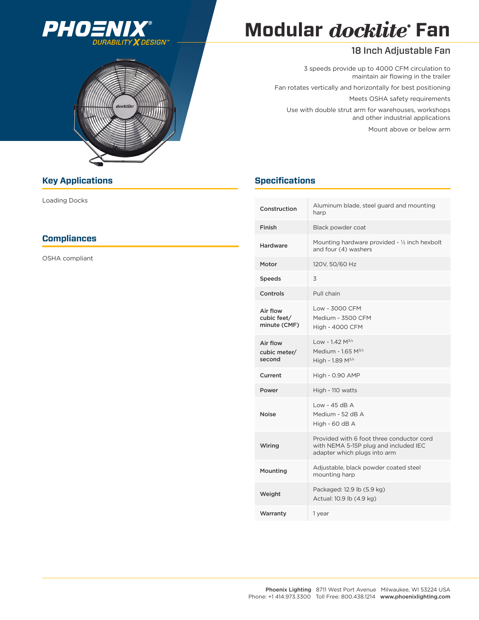



# **Modular docklite Fan**

### 18 Inch Adjustable Fan

3 speeds provide up to 4000 CFM circulation to maintain air flowing in the trailer Fan rotates vertically and horizontally for best positioning Meets OSHA safety requirements Use with double strut arm for warehouses, workshops and other industrial applications Mount above or below arm

| Construction                            | Aluminum blade, steel guard and mounting<br>harp                                                                   |  |  |  |
|-----------------------------------------|--------------------------------------------------------------------------------------------------------------------|--|--|--|
| Finish                                  | Black powder coat                                                                                                  |  |  |  |
| Hardware                                | Mounting hardware provided - 1/2 inch hexbolt<br>and four (4) washers                                              |  |  |  |
| Motor                                   | 120V, 50/60 Hz                                                                                                     |  |  |  |
| Speeds                                  | 3                                                                                                                  |  |  |  |
| Controls                                | Pull chain                                                                                                         |  |  |  |
| Air flow<br>cubic feet/<br>minute (CMF) | Low - 3000 CFM<br>Medium - 3500 CFM<br><b>High - 4000 CFM</b>                                                      |  |  |  |
| Air flow<br>cubic meter/<br>second      | Low - $1.42$ M <sup>3/s</sup><br>Medium - $1.65$ M <sup>3/s</sup><br>High - 1.89 $M^{3/s}$                         |  |  |  |
| Current                                 | <b>High - 0.90 AMP</b>                                                                                             |  |  |  |
| Power                                   | High - 110 watts                                                                                                   |  |  |  |
| <b>Noise</b>                            | $Low - 45$ dB $A$<br>Medium - 52 dB A<br>High - 60 dB A                                                            |  |  |  |
| Wiring                                  | Provided with 6 foot three conductor cord<br>with NEMA 5-15P plug and included IEC<br>adapter which plugs into arm |  |  |  |
| Mounting                                | Adjustable, black powder coated steel<br>mounting harp                                                             |  |  |  |
| Weight                                  | Packaged: 12.9 lb (5.9 kg)<br>Actual: 10.9 lb (4.9 kg)                                                             |  |  |  |
| Warranty                                | 1 year                                                                                                             |  |  |  |

#### **Key Applications Contract Contract Contract Contract Contract Contract Contract Contract Contract Contract Contract Contract Contract Contract Contract Contract Contract Contract Contract Contract Contract Contract Contra**

Loading Docks

#### **Compliances**

OSHA compliant